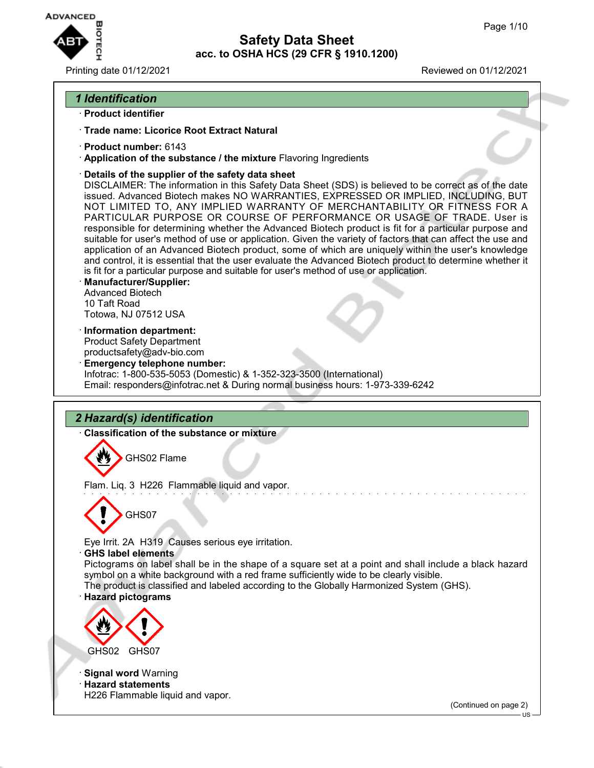

Printing date 01/12/2021 Reviewed on 01/12/2021

## *1 Identification*

- · **Product identifier**
- · **Trade name: Licorice Root Extract Natural**
- · **Product number:** 6143
- · **Application of the substance / the mixture** Flavoring Ingredients
- · **Details of the supplier of the safety data sheet**

DISCLAIMER: The information in this Safety Data Sheet (SDS) is believed to be correct as of the date issued. Advanced Biotech makes NO WARRANTIES, EXPRESSED OR IMPLIED, INCLUDING, BUT NOT LIMITED TO, ANY IMPLIED WARRANTY OF MERCHANTABILITY OR FITNESS FOR A PARTICULAR PURPOSE OR COURSE OF PERFORMANCE OR USAGE OF TRADE. User is responsible for determining whether the Advanced Biotech product is fit for a particular purpose and suitable for user's method of use or application. Given the variety of factors that can affect the use and application of an Advanced Biotech product, some of which are uniquely within the user's knowledge and control, it is essential that the user evaluate the Advanced Biotech product to determine whether it is fit for a particular purpose and suitable for user's method of use or application.

- · **Manufacturer/Supplier:** Advanced Biotech 10 Taft Road Totowa, NJ 07512 USA
- · **Information department:** Product Safety Department productsafety@adv-bio.com
- · **Emergency telephone number:** Infotrac: 1-800-535-5053 (Domestic) & 1-352-323-3500 (International) Email: responders@infotrac.net & During normal business hours: 1-973-339-6242

# *2 Hazard(s) identification*

· **Classification of the substance or mixture**

GHS02 Flame

Flam. Liq. 3 H226 Flammable liquid and vapor.



Eye Irrit. 2A H319 Causes serious eye irritation.

· **GHS label elements**

Pictograms on label shall be in the shape of a square set at a point and shall include a black hazard symbol on a white background with a red frame sufficiently wide to be clearly visible.

The product is classified and labeled according to the Globally Harmonized System (GHS).

## · **Hazard pictograms**



· **Signal word** Warning

· **Hazard statements** H226 Flammable liquid and vapor.

(Continued on page 2)

US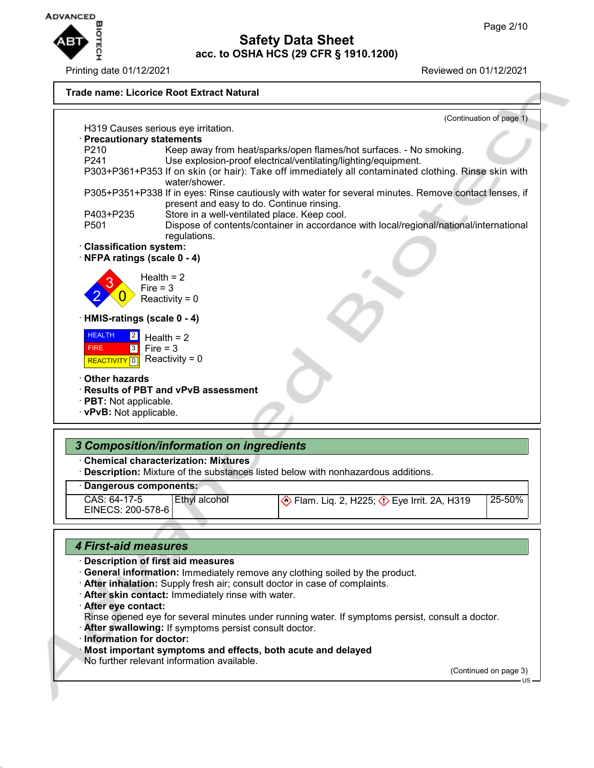

Printing date 01/12/2021 Reviewed on 01/12/2021



## *4 First-aid measures*

### · **Description of first aid measures**

- · **General information:** Immediately remove any clothing soiled by the product.
- · **After inhalation:** Supply fresh air; consult doctor in case of complaints.
- · **After skin contact:** Immediately rinse with water.
- · **After eye contact:**
- Rinse opened eye for several minutes under running water. If symptoms persist, consult a doctor.
- · **After swallowing:** If symptoms persist consult doctor.
- · **Information for doctor:**
- · **Most important symptoms and effects, both acute and delayed**
- No further relevant information available.

(Continued on page 3)

US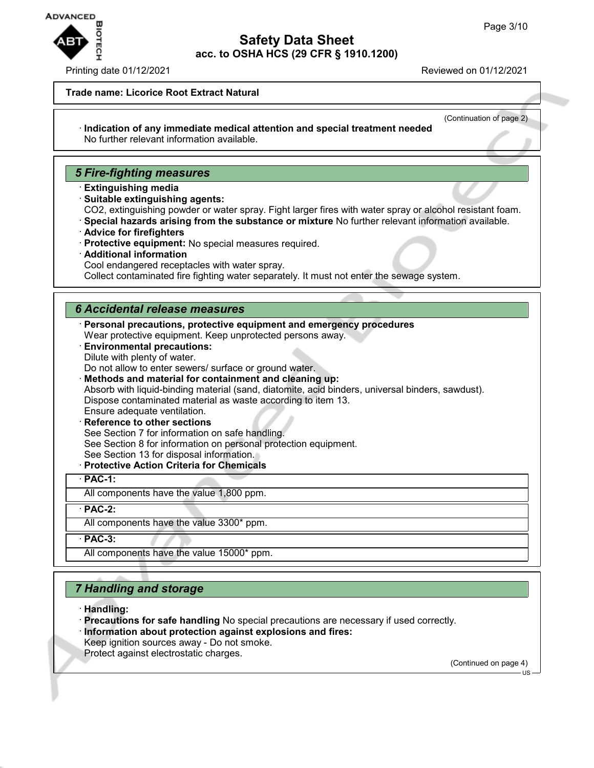

### Printing date 01/12/2021 Reviewed on 01/12/2021

### **Trade name: Licorice Root Extract Natural**

(Continuation of page 2)

#### · **Indication of any immediate medical attention and special treatment needed** No further relevant information available.

## *5 Fire-fighting measures*

- · **Extinguishing media**
- · **Suitable extinguishing agents:**
- CO2, extinguishing powder or water spray. Fight larger fires with water spray or alcohol resistant foam.
- · **Special hazards arising from the substance or mixture** No further relevant information available.
- · **Advice for firefighters**
- · **Protective equipment:** No special measures required.
- · **Additional information**
- Cool endangered receptacles with water spray.

Collect contaminated fire fighting water separately. It must not enter the sewage system.

## *6 Accidental release measures*

- · **Personal precautions, protective equipment and emergency procedures** Wear protective equipment. Keep unprotected persons away.
- · **Environmental precautions:** Dilute with plenty of water.
- Do not allow to enter sewers/ surface or ground water.
- · **Methods and material for containment and cleaning up:**

Absorb with liquid-binding material (sand, diatomite, acid binders, universal binders, sawdust). Dispose contaminated material as waste according to item 13.

- Ensure adequate ventilation.
- **Reference to other sections** See Section 7 for information on safe handling. See Section 8 for information on personal protection equipment. See Section 13 for disposal information.
- · **Protective Action Criteria for Chemicals**

### · **PAC-1:**

All components have the value 1,800 ppm.

· **PAC-2:**

All components have the value 3300\* ppm.

· **PAC-3:**

All components have the value 15000\* ppm.

## *7 Handling and storage*

- · **Handling:**
- · **Precautions for safe handling** No special precautions are necessary if used correctly. · **Information about protection against explosions and fires:**
- Keep ignition sources away Do not smoke.
- Protect against electrostatic charges.

(Continued on page 4)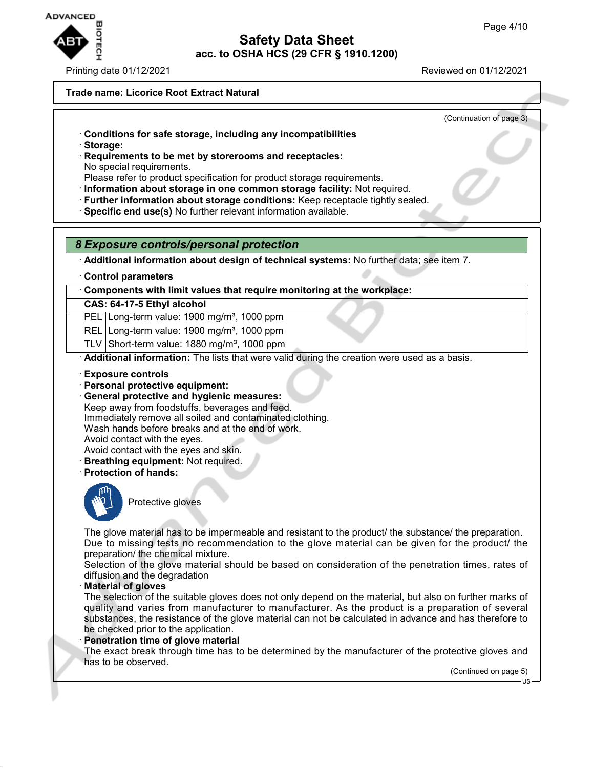

Printing date 01/12/2021 Reviewed on 01/12/2021

### **Trade name: Licorice Root Extract Natural**

(Continuation of page 3)

- · **Conditions for safe storage, including any incompatibilities**
- · **Storage:**
- · **Requirements to be met by storerooms and receptacles:** No special requirements.
- Please refer to product specification for product storage requirements.
- · **Information about storage in one common storage facility:** Not required.
- · **Further information about storage conditions:** Keep receptacle tightly sealed.
- · **Specific end use(s)** No further relevant information available.

## *8 Exposure controls/personal protection*

· **Additional information about design of technical systems:** No further data; see item 7.

· **Control parameters**

· **Components with limit values that require monitoring at the workplace:**

## **CAS: 64-17-5 Ethyl alcohol**

PEL Long-term value: 1900 mg/m<sup>3</sup>, 1000 ppm

- REL Long-term value: 1900 mg/m<sup>3</sup>, 1000 ppm
- TLV Short-term value:  $1880 \text{ mg/m}^3$ , 1000 ppm

· **Additional information:** The lists that were valid during the creation were used as a basis.

- · **Exposure controls**
- · **Personal protective equipment:**
- · **General protective and hygienic measures:** Keep away from foodstuffs, beverages and feed. Immediately remove all soiled and contaminated clothing. Wash hands before breaks and at the end of work.

Avoid contact with the eyes.

- Avoid contact with the eyes and skin.
- · **Breathing equipment:** Not required.
- · **Protection of hands:**



Protective gloves

The glove material has to be impermeable and resistant to the product/ the substance/ the preparation. Due to missing tests no recommendation to the glove material can be given for the product/ the preparation/ the chemical mixture.

Selection of the glove material should be based on consideration of the penetration times, rates of diffusion and the degradation

· **Material of gloves**

The selection of the suitable gloves does not only depend on the material, but also on further marks of quality and varies from manufacturer to manufacturer. As the product is a preparation of several substances, the resistance of the glove material can not be calculated in advance and has therefore to be checked prior to the application.

### · **Penetration time of glove material**

The exact break through time has to be determined by the manufacturer of the protective gloves and has to be observed.

(Continued on page 5)

US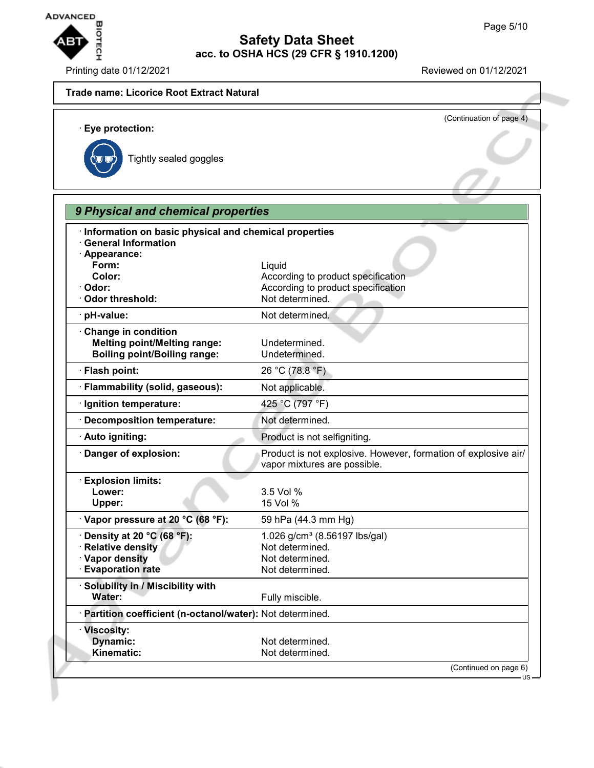

Printing date 01/12/2021 Reviewed on 01/12/2021

# **Trade name: Licorice Root Extract Natural** (Continuation of page 4) · **Eye protection:** Tightly sealed goggles *9 Physical and chemical properties* · **Information on basic physical and chemical properties** · **General Information** · **Appearance: Form:** Liquid **Color:** Color: **According to product specification** · Odor: **Odor: According to product specification** · Odor threshold: Not determined. · **pH-value:** Not determined. · **Change in condition Melting point/Melting range:** Undetermined. **Boiling point/Boiling range:** Undetermined. · **Flash point:** 26 °C (78.8 °F) · **Flammability (solid, gaseous):** Not applicable. · **Ignition temperature:** 425 °C (797 °F) · **Decomposition temperature:** Not determined. · **Auto igniting:** Product is not selfigniting. · **Danger of explosion:** Product is not explosive. However, formation of explosive air/ vapor mixtures are possible. · **Explosion limits: Lower:** 3.5 Vol % **Upper:** 15 Vol % · **Vapor pressure at 20 °C (68 °F):** 59 hPa (44.3 mm Hg) **Density at 20 °C (68 °F):** 1.026 g/cm<sup>3</sup> (8.56197 lbs/gal) **Product Relative density** Not determined. **Vapor density** Not determined. · **Evaporation rate Not determined.** · **Solubility in / Miscibility with** Water: **Water:** Fully miscible. · **Partition coefficient (n-octanol/water):** Not determined. · **Viscosity: Dynamic:** Not determined. Kinematic: Not determined. (Continued on page 6)  $H\mathbf{S}$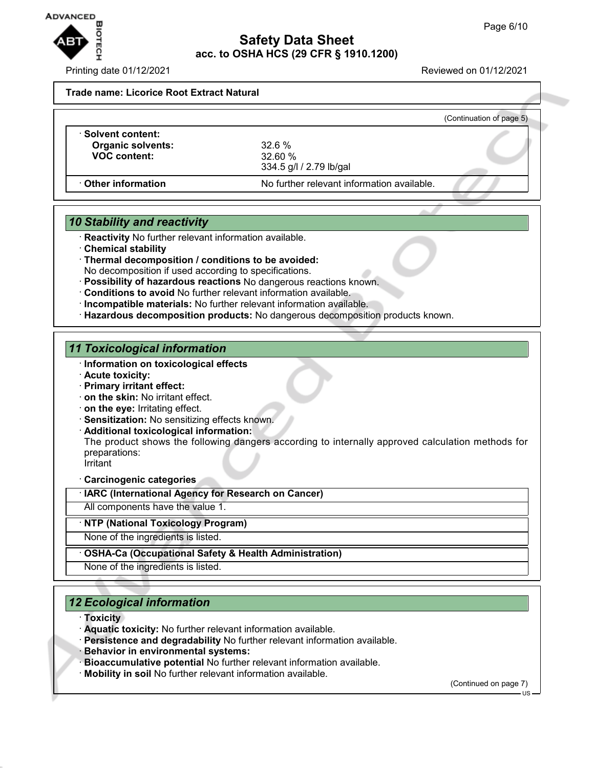

Printing date 01/12/2021 Reviewed on 01/12/2021

**Trade name: Licorice Root Extract Natural**

|                                                                       |                                            | (Continuation of page 5) |
|-----------------------------------------------------------------------|--------------------------------------------|--------------------------|
| Solvent content: \<br><b>Organic solvents:</b><br><b>VOC content:</b> | 32.6%<br>32.60%<br>334.5 g/l / 2.79 lb/gal |                          |
| Other information                                                     | No further relevant information available. |                          |

# *10 Stability and reactivity*

- · **Reactivity** No further relevant information available.
- · **Chemical stability**
- · **Thermal decomposition / conditions to be avoided:** No decomposition if used according to specifications.
- · **Possibility of hazardous reactions** No dangerous reactions known.
- · **Conditions to avoid** No further relevant information available.
- · **Incompatible materials:** No further relevant information available.
- · **Hazardous decomposition products:** No dangerous decomposition products known.

## *11 Toxicological information*

- · **Information on toxicological effects**
- · **Acute toxicity:**
- · **Primary irritant effect:**
- · **on the skin:** No irritant effect.
- · **on the eye:** Irritating effect.
- · **Sensitization:** No sensitizing effects known.
- · **Additional toxicological information:**

The product shows the following dangers according to internally approved calculation methods for preparations: Irritant

· **Carcinogenic categories**

· **IARC (International Agency for Research on Cancer)**

All components have the value 1.

## · **NTP (National Toxicology Program)**

None of the ingredients is listed.

## · **OSHA-Ca (Occupational Safety & Health Administration)**

None of the ingredients is listed.

## *12 Ecological information*

- · **Toxicity**
- · **Aquatic toxicity:** No further relevant information available.
- · **Persistence and degradability** No further relevant information available.
- · **Behavior in environmental systems:**
- · **Bioaccumulative potential** No further relevant information available.
- · **Mobility in soil** No further relevant information available.

(Continued on page 7)

US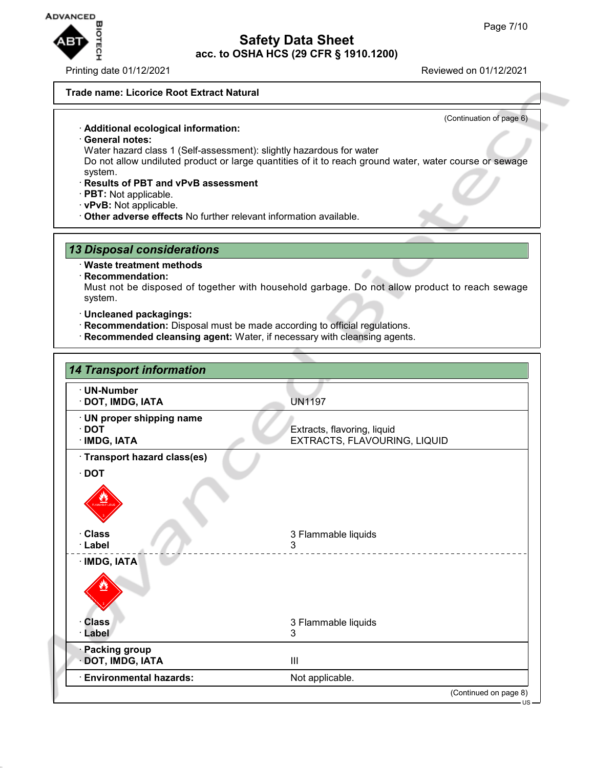

Printing date 01/12/2021 Reviewed on 01/12/2021

(Continuation of page 6)

### **Trade name: Licorice Root Extract Natural**

· **Additional ecological information:**

- · **General notes:**
- Water hazard class 1 (Self-assessment): slightly hazardous for water

Do not allow undiluted product or large quantities of it to reach ground water, water course or sewage system.

- · **Results of PBT and vPvB assessment**
- · **PBT:** Not applicable.
- · **vPvB:** Not applicable.
- · **Other adverse effects** No further relevant information available.

## *13 Disposal considerations*

### · **Waste treatment methods**

· **Recommendation:**

Must not be disposed of together with household garbage. Do not allow product to reach sewage system.

- · **Uncleaned packagings:**
- · **Recommendation:** Disposal must be made according to official regulations.
- · **Recommended cleansing agent:** Water, if necessary with cleansing agents.

| <b>14 Transport information</b>                          |                                                             |
|----------------------------------------------------------|-------------------------------------------------------------|
| · UN-Number<br>DOT, IMDG, IATA                           | <b>UN1197</b>                                               |
| · UN proper shipping name<br>$\cdot$ DOT<br>· IMDG, IATA | Extracts, flavoring, liquid<br>EXTRACTS, FLAVOURING, LIQUID |
| · Transport hazard class(es)                             |                                                             |
| $\cdot$ DOT                                              |                                                             |
|                                                          |                                                             |
| · Class<br>· Label                                       | 3 Flammable liquids<br>3                                    |
| · IMDG, IATA                                             |                                                             |
| <b>Class</b>                                             | 3 Flammable liquids                                         |
| · Label                                                  | 3                                                           |
| <b>Packing group</b><br>DOT, IMDG, IATA                  | III                                                         |
| <b>Environmental hazards:</b>                            | Not applicable.                                             |
|                                                          | (Continued on page 8)                                       |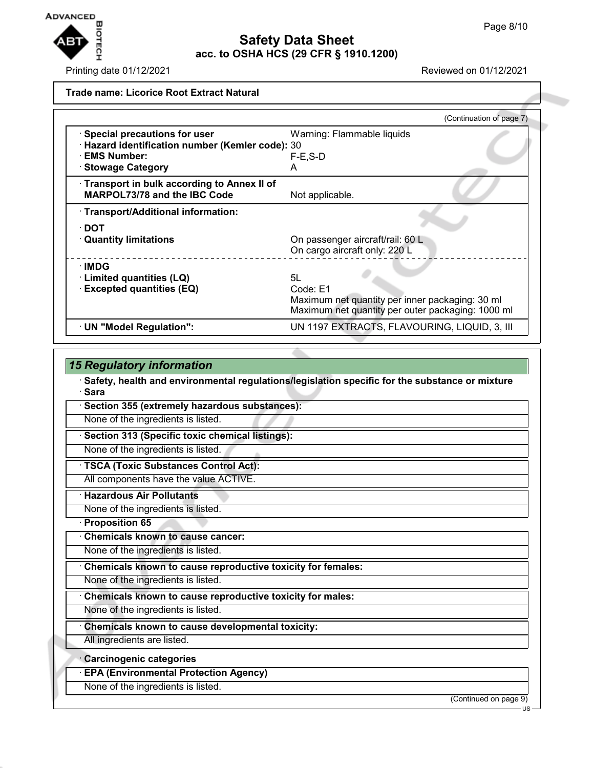

Printing date 01/12/2021 **Reviewed on 01/12/2021** 

|                                                  | (Continuation of page 7)                          |
|--------------------------------------------------|---------------------------------------------------|
| · Special precautions for user                   | Warning: Flammable liquids                        |
| · Hazard identification number (Kemler code): 30 |                                                   |
| · EMS Number:                                    | $F-E$ , S-D                                       |
| <b>Stowage Category</b>                          | A                                                 |
| Transport in bulk according to Annex II of       |                                                   |
| <b>MARPOL73/78 and the IBC Code</b>              | Not applicable.                                   |
| · Transport/Additional information:              |                                                   |
| ∙ DOT                                            |                                                   |
| $\cdot$ Quantity limitations                     | On passenger aircraft/rail: 60 L                  |
|                                                  | On cargo aircraft only: 220 L                     |
| ∙IMDG                                            |                                                   |
| · Limited quantities (LQ)                        | 5L                                                |
| <b>Excepted quantities (EQ)</b>                  | Code: E1                                          |
|                                                  | Maximum net quantity per inner packaging: 30 ml   |
|                                                  | Maximum net quantity per outer packaging: 1000 ml |
| · UN "Model Regulation":                         | UN 1197 EXTRACTS, FLAVOURING, LIQUID, 3, III      |
|                                                  |                                                   |

| <b>15 Regulatory information</b>                                                                         |                       |
|----------------------------------------------------------------------------------------------------------|-----------------------|
| Safety, health and environmental regulations/legislation specific for the substance or mixture<br>· Sara |                       |
| Section 355 (extremely hazardous substances):                                                            |                       |
| None of the ingredients is listed.                                                                       |                       |
| Section 313 (Specific toxic chemical listings):                                                          |                       |
| None of the ingredients is listed.                                                                       |                       |
| · TSCA (Toxic Substances Control Act):                                                                   |                       |
| All components have the value ACTIVE.                                                                    |                       |
| <b>Hazardous Air Pollutants</b>                                                                          |                       |
| None of the ingredients is listed.                                                                       |                       |
| <b>Proposition 65</b>                                                                                    |                       |
| <b>Chemicals known to cause cancer:</b>                                                                  |                       |
| None of the ingredients is listed.                                                                       |                       |
| Chemicals known to cause reproductive toxicity for females:                                              |                       |
| None of the ingredients is listed.                                                                       |                       |
| Chemicals known to cause reproductive toxicity for males:                                                |                       |
| None of the ingredients is listed.                                                                       |                       |
| Chemicals known to cause developmental toxicity:                                                         |                       |
| All ingredients are listed.                                                                              |                       |
| · Carcinogenic categories                                                                                |                       |
| <b>EPA (Environmental Protection Agency)</b>                                                             |                       |
| None of the ingredients is listed.                                                                       |                       |
|                                                                                                          | (Continued on page 9) |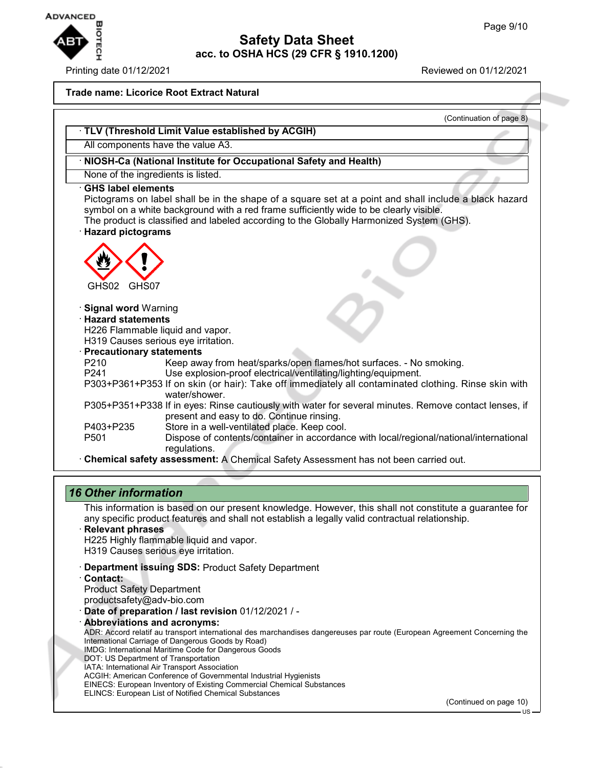

### Printing date 01/12/2021 Reviewed on 01/12/2021

### **Trade name: Licorice Root Extract Natural**

|                                                   | (Continuation of page 8)                                                                                                                                                                                                                                                                    |
|---------------------------------------------------|---------------------------------------------------------------------------------------------------------------------------------------------------------------------------------------------------------------------------------------------------------------------------------------------|
|                                                   | TLV (Threshold Limit Value established by ACGIH)                                                                                                                                                                                                                                            |
|                                                   | All components have the value A3.                                                                                                                                                                                                                                                           |
|                                                   | · NIOSH-Ca (National Institute for Occupational Safety and Health)                                                                                                                                                                                                                          |
| None of the ingredients is listed.                |                                                                                                                                                                                                                                                                                             |
| <b>GHS label elements</b><br>· Hazard pictograms  | Pictograms on label shall be in the shape of a square set at a point and shall include a black hazard<br>symbol on a white background with a red frame sufficiently wide to be clearly visible.<br>The product is classified and labeled according to the Globally Harmonized System (GHS). |
| GHS02<br>GHS07                                    |                                                                                                                                                                                                                                                                                             |
| <b>Signal word Warning</b><br>· Hazard statements | H226 Flammable liquid and vapor.<br>H319 Causes serious eye irritation.                                                                                                                                                                                                                     |
| · Precautionary statements                        |                                                                                                                                                                                                                                                                                             |
| P <sub>210</sub><br>P <sub>241</sub>              | Keep away from heat/sparks/open flames/hot surfaces. - No smoking.<br>Use explosion-proof electrical/ventilating/lighting/equipment.                                                                                                                                                        |
|                                                   | P303+P361+P353 If on skin (or hair): Take off immediately all contaminated clothing. Rinse skin with<br>water/shower.                                                                                                                                                                       |
|                                                   | P305+P351+P338 If in eyes: Rinse cautiously with water for several minutes. Remove contact lenses, if<br>present and easy to do. Continue rinsing.                                                                                                                                          |
| P403+P235                                         | Store in a well-ventilated place. Keep cool.                                                                                                                                                                                                                                                |
| P <sub>501</sub>                                  | Dispose of contents/container in accordance with local/regional/national/international                                                                                                                                                                                                      |
|                                                   | regulations.<br>Chemical safety assessment: A Chemical Safety Assessment has not been carried out.                                                                                                                                                                                          |

## *16 Other information*

This information is based on our present knowledge. However, this shall not constitute a guarantee for any specific product features and shall not establish a legally valid contractual relationship.

- · **Relevant phrases** H225 Highly flammable liquid and vapor. H319 Causes serious eye irritation.
- · **Department issuing SDS:** Product Safety Department
- · **Contact:** Product Safety Department productsafety@adv-bio.com
- · **Date of preparation / last revision** 01/12/2021 / -
- · **Abbreviations and acronyms:** ADR: Accord relatif au transport international des marchandises dangereuses par route (European Agreement Concerning the International Carriage of Dangerous Goods by Road) IMDG: International Maritime Code for Dangerous Goods DOT: US Department of Transportation IATA: International Air Transport Association ACGIH: American Conference of Governmental Industrial Hygienists EINECS: European Inventory of Existing Commercial Chemical Substances ELINCS: European List of Notified Chemical Substances

(Continued on page 10)

US